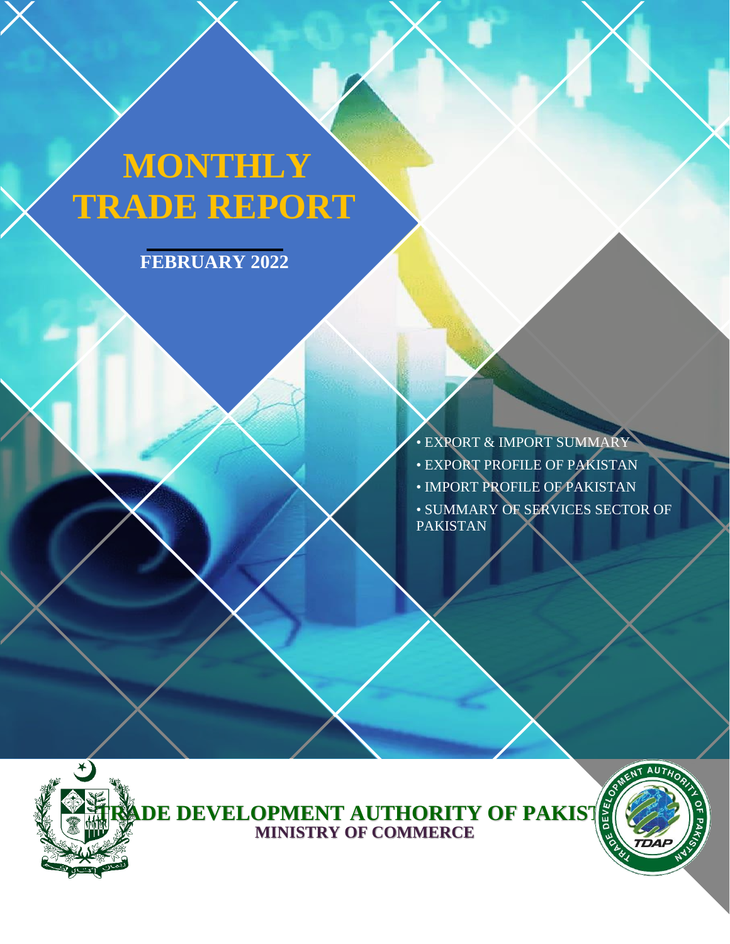# **MONTHLY TRADE REPORT**

**FEBRUARY 2022**

• EXPORT & IMPORT SUMMARY • EXPORT PROFILE OF PAKISTAN • IMPORT PROFILE OF PAKISTAN • SUMMARY OF SERVICES SECTOR OF PAKISTAN



**TRADE DEVELOPMENT AUTHORITY OF PAKIST I MINISTRY OF COMMERCE**

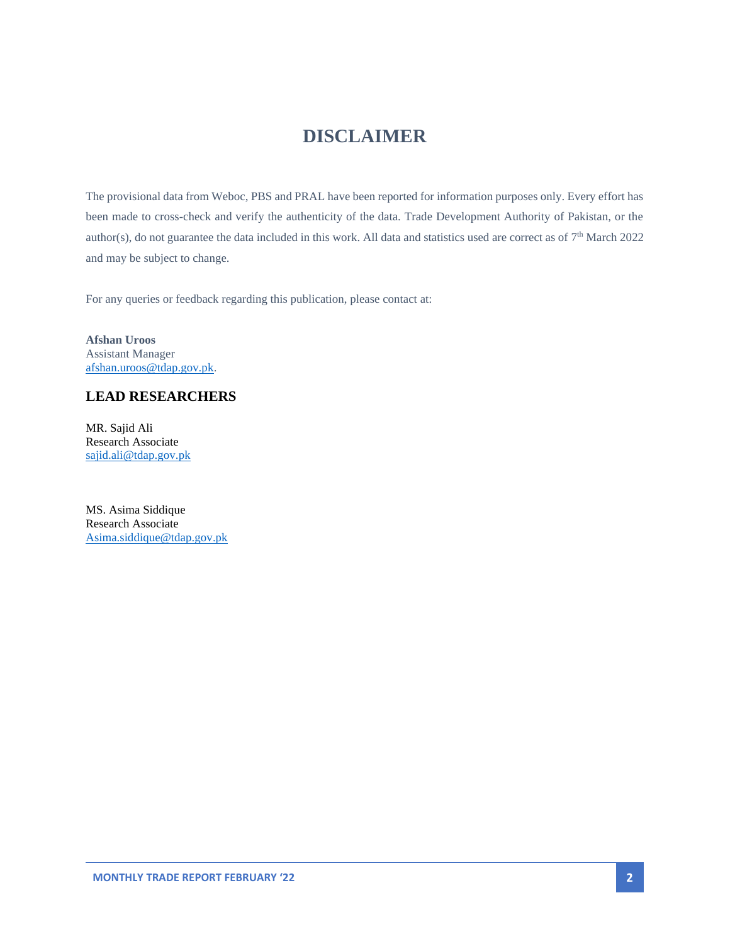### **DISCLAIMER**

The provisional data from Weboc, PBS and PRAL have been reported for information purposes only. Every effort has been made to cross-check and verify the authenticity of the data. Trade Development Authority of Pakistan, or the author(s), do not guarantee the data included in this work. All data and statistics used are correct as of  $7<sup>th</sup>$  March 2022 and may be subject to change.

For any queries or feedback regarding this publication, please contact at:

**Afshan Uroos** Assistant Manager [afshan.uroos@tdap.gov.pk.](mailto:afshan.uroos@tdap.gov.pk)

#### **LEAD RESEARCHERS**

MR. Sajid Ali Research Associate [sajid.ali@tdap.gov.pk](mailto:sajid.ali@tdap.gov.pk)

MS. Asima Siddique Research Associate [Asima.siddique@tdap.gov.pk](mailto:Asima.siddique@tdap.gov.pk)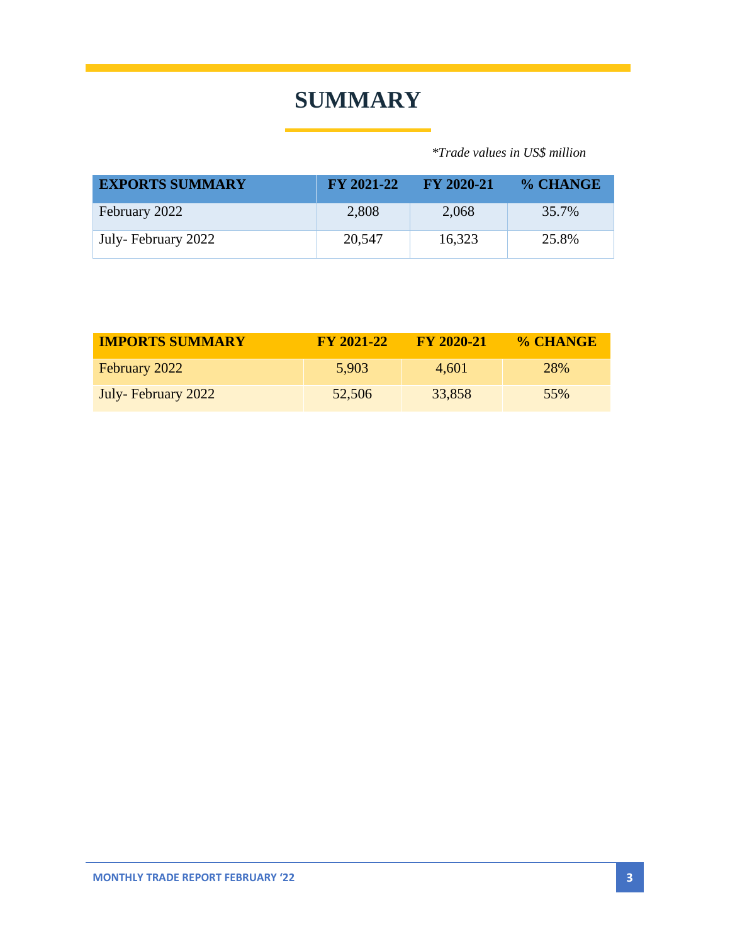### **SUMMARY**

 *\*Trade values in US\$ million*

| <b>EXPORTS SUMMARY</b> | $\rm FY 2021-22$ | $-$ FY 2020-21 | % CHANGE |
|------------------------|------------------|----------------|----------|
| February 2022          | 2,808            | 2,068          | 35.7%    |
| July-February 2022     | 20,547           | 16,323         | 25.8%    |

| <b>IMPORTS SUMMARY</b> | <b>FY 2021-22</b> | <b>FY 2020-21</b> | % CHANGE   |
|------------------------|-------------------|-------------------|------------|
| February 2022          | 5,903             | 4.601             | <b>28%</b> |
| July-February 2022     | 52,506            | 33,858            | 55%        |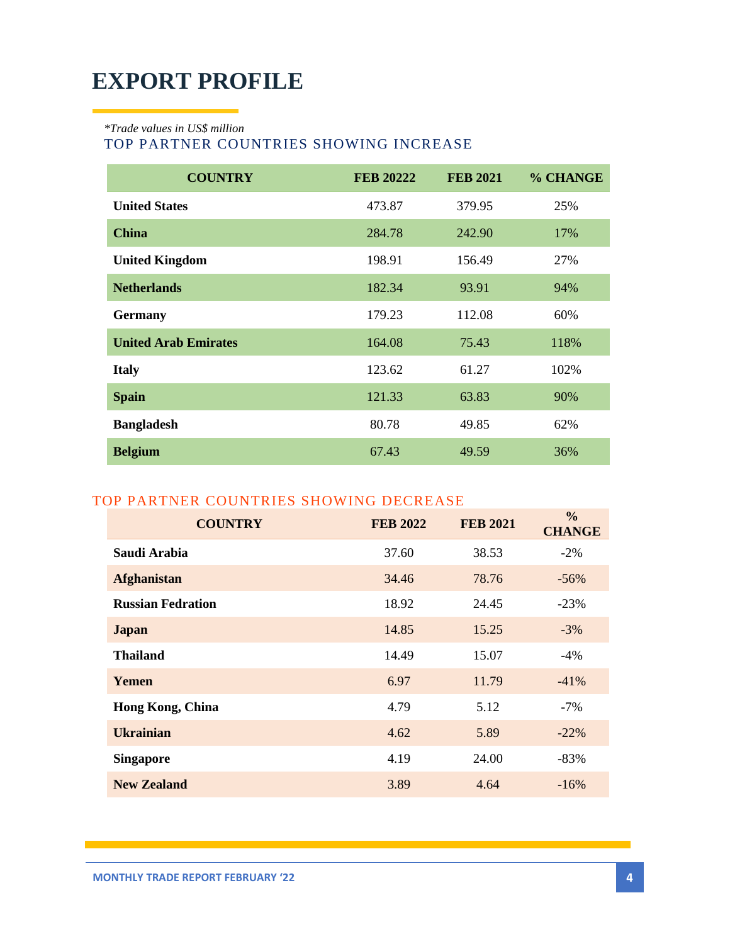### **EXPORT PROFILE**

*\*Trade values in US\$ million*

#### TOP PARTNER COUNTRIES SHOWING INCREASE

| <b>COUNTRY</b>              | <b>FEB 20222</b> | <b>FEB 2021</b> | % CHANGE |
|-----------------------------|------------------|-----------------|----------|
| <b>United States</b>        | 473.87           | 379.95          | 25%      |
| <b>China</b>                | 284.78           | 242.90          | 17%      |
| <b>United Kingdom</b>       | 198.91           | 156.49          | 27%      |
| <b>Netherlands</b>          | 182.34           | 93.91           | 94%      |
| <b>Germany</b>              | 179.23           | 112.08          | 60%      |
| <b>United Arab Emirates</b> | 164.08           | 75.43           | 118%     |
| <b>Italy</b>                | 123.62           | 61.27           | 102%     |
| <b>Spain</b>                | 121.33           | 63.83           | 90%      |
| <b>Bangladesh</b>           | 80.78            | 49.85           | 62%      |
| <b>Belgium</b>              | 67.43            | 49.59           | 36%      |

### TOP PARTNER COUNTRIES SHOWING DECREASE

| <b>COUNTRY</b>           | <b>FEB 2022</b> | <b>FEB 2021</b> | $\frac{0}{0}$<br><b>CHANGE</b> |
|--------------------------|-----------------|-----------------|--------------------------------|
| Saudi Arabia             | 37.60           | 38.53           | $-2\%$                         |
| <b>Afghanistan</b>       | 34.46           | 78.76           | $-56%$                         |
| <b>Russian Fedration</b> | 18.92           | 24.45           | $-23%$                         |
| <b>Japan</b>             | 14.85           | 15.25           | $-3\%$                         |
| <b>Thailand</b>          | 14.49           | 15.07           | $-4\%$                         |
| <b>Yemen</b>             | 6.97            | 11.79           | $-41%$                         |
| <b>Hong Kong, China</b>  | 4.79            | 5.12            | $-7\%$                         |
| <b>Ukrainian</b>         | 4.62            | 5.89            | $-22\%$                        |
| <b>Singapore</b>         | 4.19            | 24.00           | $-83%$                         |
| <b>New Zealand</b>       | 3.89            | 4.64            | $-16%$                         |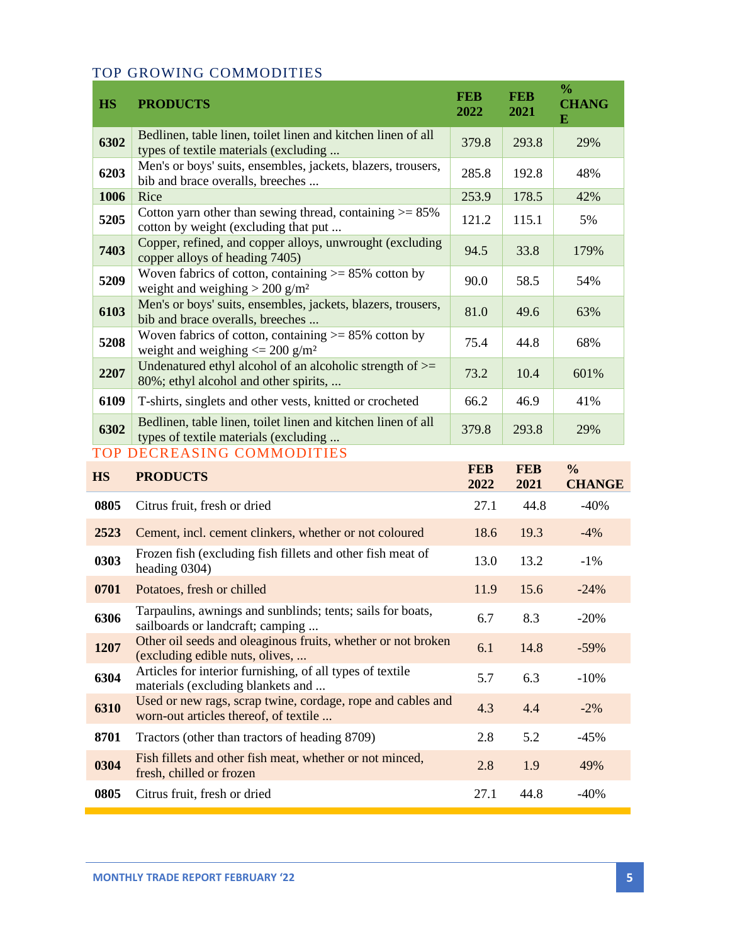### TOP GROWING COMMODITIES

| <b>HS</b> | <b>PRODUCTS</b>                                                                                             | <b>FEB</b><br>2022 | <b>FEB</b><br>2021 | $\frac{0}{0}$<br><b>CHANG</b><br>E |
|-----------|-------------------------------------------------------------------------------------------------------------|--------------------|--------------------|------------------------------------|
| 6302      | Bedlinen, table linen, toilet linen and kitchen linen of all<br>types of textile materials (excluding       | 379.8              | 293.8              | 29%                                |
| 6203      | Men's or boys' suits, ensembles, jackets, blazers, trousers,<br>bib and brace overalls, breeches            | 285.8              | 192.8              | 48%                                |
| 1006      | Rice                                                                                                        | 253.9              | 178.5              | 42%                                |
| 5205      | Cotton yarn other than sewing thread, containing $> = 85\%$<br>cotton by weight (excluding that put         | 121.2              | 115.1              | 5%                                 |
| 7403      | Copper, refined, and copper alloys, unwrought (excluding<br>copper alloys of heading 7405)                  | 94.5               | 33.8               | 179%                               |
| 5209      | Woven fabrics of cotton, containing $> = 85\%$ cotton by<br>weight and weighing $> 200$ g/m <sup>2</sup>    | 90.0               | 58.5               | 54%                                |
| 6103      | Men's or boys' suits, ensembles, jackets, blazers, trousers,<br>bib and brace overalls, breeches            | 81.0               | 49.6               | 63%                                |
| 5208      | Woven fabrics of cotton, containing $\geq$ 85% cotton by<br>weight and weighing $\leq$ 200 g/m <sup>2</sup> | 75.4               | 44.8               | 68%                                |
| 2207      | Undenatured ethyl alcohol of an alcoholic strength of $\ge$ =<br>80%; ethyl alcohol and other spirits,      | 73.2               | 10.4               | 601%                               |
| 6109      | T-shirts, singlets and other vests, knitted or crocheted                                                    | 66.2               | 46.9               | 41%                                |
| 6302      | Bedlinen, table linen, toilet linen and kitchen linen of all<br>types of textile materials (excluding       | 379.8              | 293.8              | 29%                                |
|           | <b>TOP DECREASING COMMODITIES</b>                                                                           |                    |                    |                                    |
| <b>HS</b> | <b>PRODUCTS</b>                                                                                             | <b>FEB</b><br>2022 | <b>FEB</b><br>2021 | $\frac{0}{0}$<br><b>CHANGE</b>     |
| 0805      | Citrus fruit, fresh or dried                                                                                | 27.1               | 44.8               | $-40%$                             |
| 2523      | Cement, incl. cement clinkers, whether or not coloured                                                      | 18.6               | 19.3               | $-4%$                              |
| 0303      | Frozen fish (excluding fish fillets and other fish meat of<br>heading 0304)                                 | 13.0               | 13.2               | $-1\%$                             |
| 0701      | Potatoes, fresh or chilled                                                                                  | 11.9               | 15.6               | $-24%$                             |
| 6306      | Tarpaulins, awnings and sunblinds; tents; sails for boats,<br>sailboards or landcraft; camping              | 6.7                | 8.3                | $-20%$                             |
| 1207      | Other oil seeds and oleaginous fruits, whether or not broken<br>(excluding edible nuts, olives,             | 6.1                | 14.8               | $-59%$                             |
| 6304      | Articles for interior furnishing, of all types of textile<br>materials (excluding blankets and              | 5.7                | 6.3                | $-10%$                             |
| 6310      | Used or new rags, scrap twine, cordage, rope and cables and<br>worn-out articles thereof, of textile        | 4.3                | 4.4                | $-2%$                              |
| 8701      | Tractors (other than tractors of heading 8709)                                                              | 2.8                | 5.2                | $-45%$                             |
| 0304      | Fish fillets and other fish meat, whether or not minced,                                                    |                    |                    |                                    |
|           | fresh, chilled or frozen                                                                                    | 2.8                | 1.9                | 49%                                |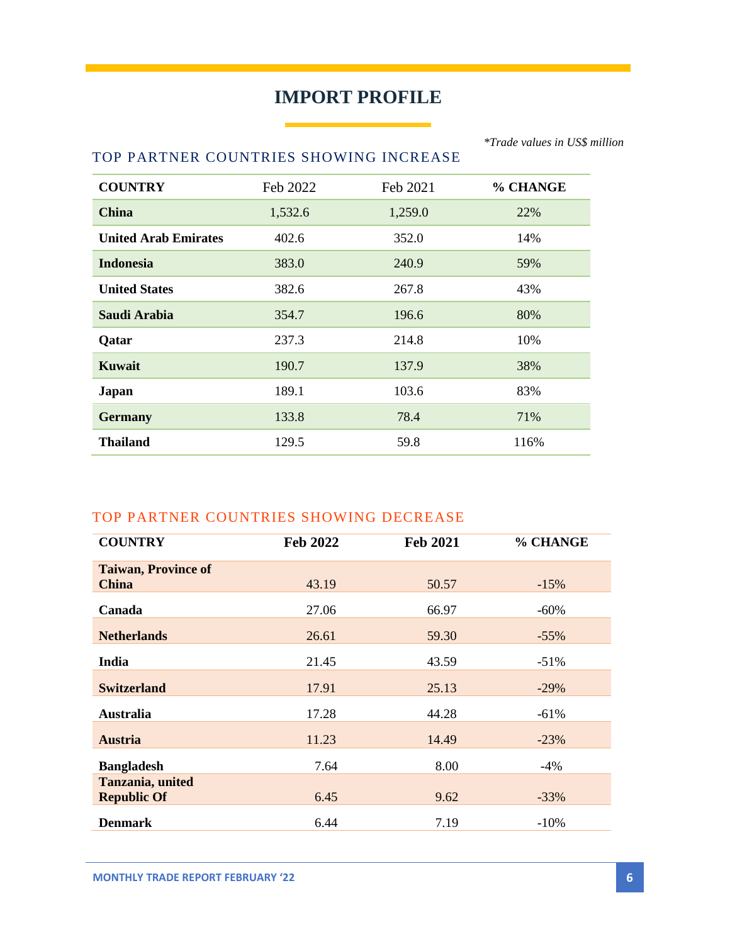### **IMPORT PROFILE**

#### TOP PARTNER COUNTRIES SHOWING INCREASE

| <b>COUNTRY</b>              | Feb 2022 | Feb 2021 | % CHANGE |
|-----------------------------|----------|----------|----------|
| <b>China</b>                | 1,532.6  | 1,259.0  | 22%      |
| <b>United Arab Emirates</b> | 402.6    | 352.0    | 14%      |
| <b>Indonesia</b>            | 383.0    | 240.9    | 59%      |
| <b>United States</b>        | 382.6    | 267.8    | 43%      |
| <b>Saudi Arabia</b>         | 354.7    | 196.6    | 80%      |
| <b>Qatar</b>                | 237.3    | 214.8    | 10%      |
| <b>Kuwait</b>               | 190.7    | 137.9    | 38%      |
| <b>Japan</b>                | 189.1    | 103.6    | 83%      |
| <b>Germany</b>              | 133.8    | 78.4     | 71%      |
| <b>Thailand</b>             | 129.5    | 59.8     | 116%     |

#### TOP PARTNER COUNTRIES SHOWING DECREASE

| <b>COUNTRY</b>             | Feb 2022 | <b>Feb 2021</b> | % CHANGE |
|----------------------------|----------|-----------------|----------|
| <b>Taiwan, Province of</b> |          |                 |          |
| <b>China</b>               | 43.19    | 50.57           | $-15%$   |
| Canada                     | 27.06    | 66.97           | $-60%$   |
| <b>Netherlands</b>         | 26.61    | 59.30           | $-55\%$  |
| India                      | 21.45    | 43.59           | $-51%$   |
| <b>Switzerland</b>         | 17.91    | 25.13           | $-29%$   |
| <b>Australia</b>           | 17.28    | 44.28           | $-61%$   |
| <b>Austria</b>             | 11.23    | 14.49           | $-23%$   |
| <b>Bangladesh</b>          | 7.64     | 8.00            | -4%      |
| Tanzania, united           |          |                 |          |
| <b>Republic Of</b>         | 6.45     | 9.62            | $-33%$   |
| <b>Denmark</b>             | 6.44     | 7.19            | $-10\%$  |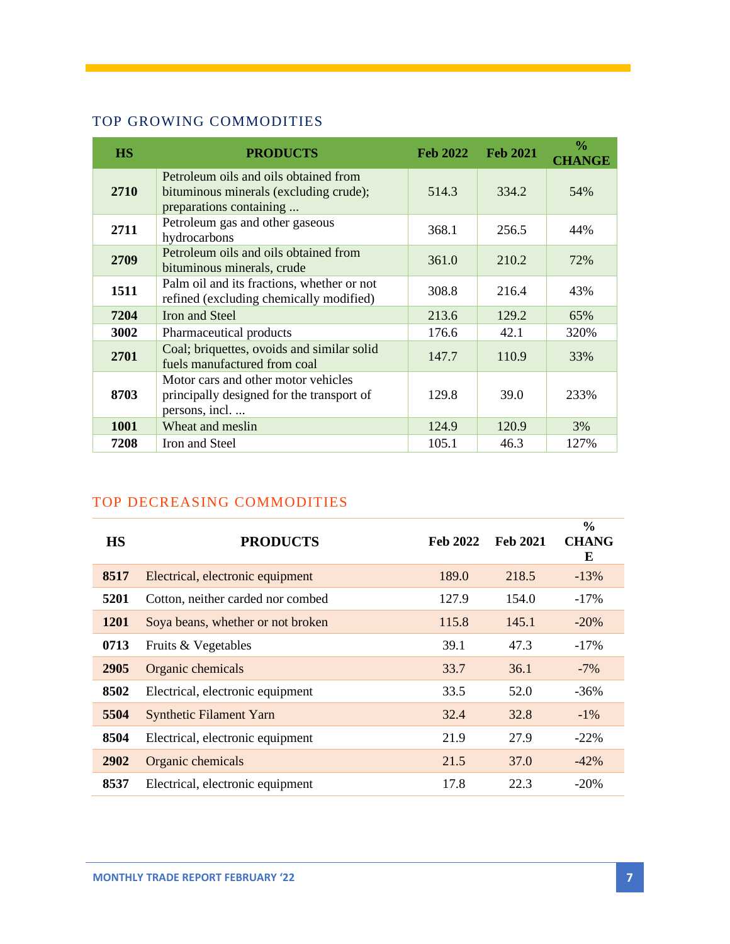### TOP GROWING COMMODITIES

| <b>HS</b> | <b>PRODUCTS</b>                                                                                            | <b>Feb 2022</b> | <b>Feb 2021</b> | $\frac{0}{0}$<br><b>CHANGE</b> |
|-----------|------------------------------------------------------------------------------------------------------------|-----------------|-----------------|--------------------------------|
| 2710      | Petroleum oils and oils obtained from<br>bituminous minerals (excluding crude);<br>preparations containing | 514.3           | 334.2           | 54%                            |
| 2711      | Petroleum gas and other gaseous<br>hydrocarbons                                                            | 368.1           | 256.5           | 44%                            |
| 2709      | Petroleum oils and oils obtained from<br>bituminous minerals, crude                                        | 361.0           | 210.2           | 72%                            |
| 1511      | Palm oil and its fractions, whether or not<br>refined (excluding chemically modified)                      | 308.8           | 216.4           | 43%                            |
| 7204      | Iron and Steel                                                                                             | 213.6           | 129.2           | 65%                            |
| 3002      | Pharmaceutical products                                                                                    | 176.6           | 42.1            | 320%                           |
| 2701      | Coal; briquettes, ovoids and similar solid<br>fuels manufactured from coal                                 | 147.7           | 110.9           | 33%                            |
| 8703      | Motor cars and other motor vehicles<br>principally designed for the transport of<br>persons, incl          | 129.8           | 39.0            | 233%                           |
| 1001      | Wheat and meslin                                                                                           | 124.9           | 120.9           | 3%                             |
| 7208      | Iron and Steel                                                                                             | 105.1           | 46.3            | 127%                           |

### TOP DECREASING COMMODITIES

| <b>HS</b>   | <b>PRODUCTS</b>                   | <b>Feb 2022</b> | <b>Feb 2021</b> | $\frac{0}{0}$<br><b>CHANG</b><br>E |
|-------------|-----------------------------------|-----------------|-----------------|------------------------------------|
| 8517        | Electrical, electronic equipment  | 189.0           | 218.5           | $-13\%$                            |
| 5201        | Cotton, neither carded nor combed | 127.9           | 154.0           | $-17%$                             |
| <b>1201</b> | Soya beans, whether or not broken | 115.8           | 145.1           | $-20%$                             |
| 0713        | Fruits & Vegetables               | 39.1            | 47.3            | $-17\%$                            |
| 2905        | Organic chemicals                 | 33.7            | 36.1            | $-7\%$                             |
| 8502        | Electrical, electronic equipment  | 33.5            | 52.0            | $-36%$                             |
| 5504        | <b>Synthetic Filament Yarn</b>    | 32.4            | 32.8            | $-1\%$                             |
| 8504        | Electrical, electronic equipment  | 21.9            | 27.9            | $-22\%$                            |
| 2902        | Organic chemicals                 | 21.5            | 37.0            | $-42%$                             |
| 8537        | Electrical, electronic equipment  | 17.8            | 22.3            | $-20%$                             |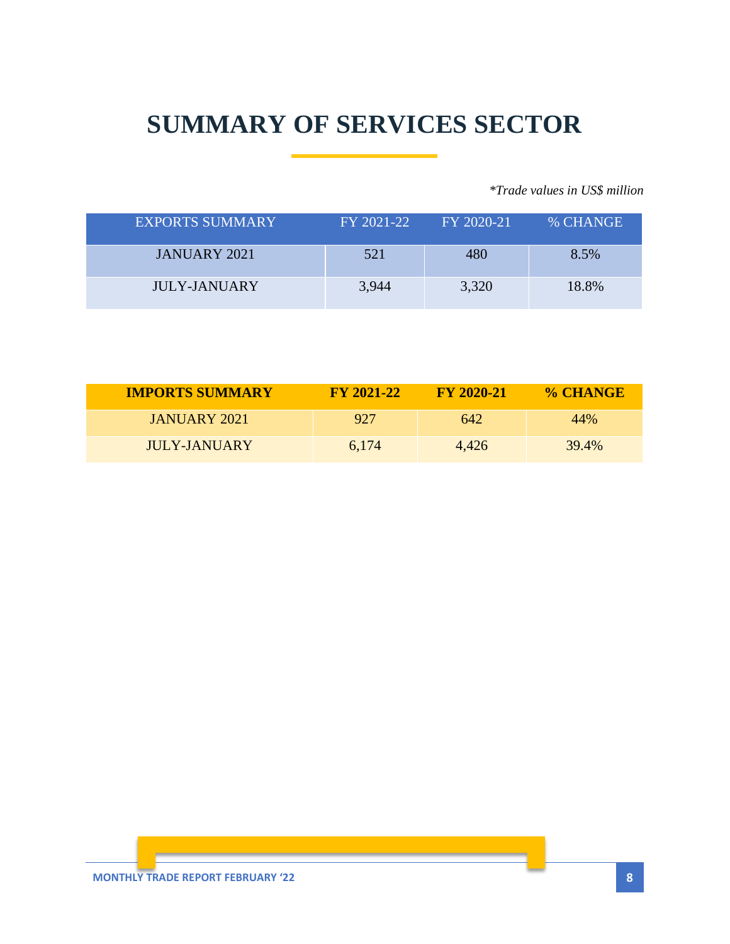## **SUMMARY OF SERVICES SECTOR**

*\*Trade values in US\$ million*

| <b>EXPORTS SUMMARY</b> | FY 2021-22 | FY 2020-21 | % CHANGE |
|------------------------|------------|------------|----------|
| <b>JANUARY 2021</b>    | 521        | 480        | 8.5%     |
| <b>JULY-JANUARY</b>    | 3,944      | 3,320      | 18.8%    |

| <b>IMPORTS SUMMARY</b> | <b>FY 2021-22</b> | <b>FY 2020-21</b> | % CHANGE |
|------------------------|-------------------|-------------------|----------|
| JANUARY 2021           | 927               | 642               | 44%      |
| JULY-JANUARY           | 6.174             | 4.426             | 39.4%    |